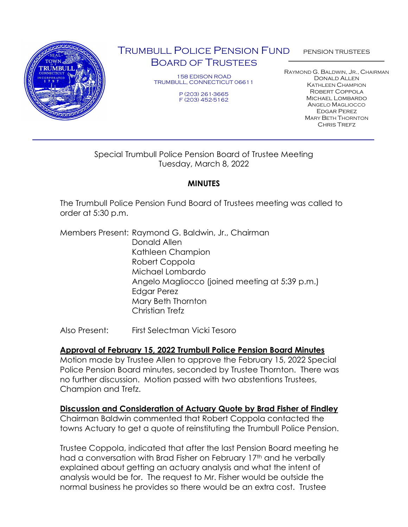

# TRUMBULL POLICE PENSION FUND BOARD OF TRUSTEES

158 EDISON ROAD TRUMBULL, CONNECTICUT 06611

> P (203) 261-3665 F (203) 452-5162

PENSION TRUSTEES

RAYMOND G. BALDWIN, JR., CHAIRMAN Donald Allen KATHLEEN CHAMPION Robert Coppola Michael Lombardo ANGELO MAGLIOCCO Edgar Perez MARY BETH THORNTON CHRIS TREFZ

#### Special Trumbull Police Pension Board of Trustee Meeting Tuesday, March 8, 2022

## **MINUTES**

The Trumbull Police Pension Fund Board of Trustees meeting was called to order at 5:30 p.m.

Members Present: Raymond G. Baldwin, Jr., Chairman Donald Allen Kathleen Champion Robert Coppola Michael Lombardo Angelo Magliocco (joined meeting at 5:39 p.m.) Edgar Perez Mary Beth Thornton Christian Trefz

Also Present: First Selectman Vicki Tesoro

## **Approval of February 15, 2022 Trumbull Police Pension Board Minutes**

Motion made by Trustee Allen to approve the February 15, 2022 Special Police Pension Board minutes, seconded by Trustee Thornton. There was no further discussion. Motion passed with two abstentions Trustees, Champion and Trefz.

## **Discussion and Consideration of Actuary Quote by Brad Fisher of Findley**

Chairman Baldwin commented that Robert Coppola contacted the towns Actuary to get a quote of reinstituting the Trumbull Police Pension.

Trustee Coppola, indicated that after the last Pension Board meeting he had a conversation with Brad Fisher on February 17<sup>th</sup> and he verbally explained about getting an actuary analysis and what the intent of analysis would be for. The request to Mr. Fisher would be outside the normal business he provides so there would be an extra cost. Trustee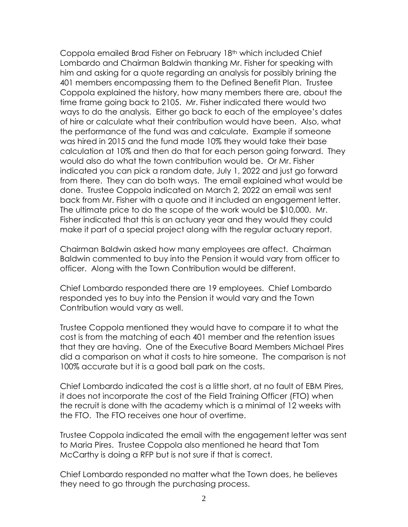Coppola emailed Brad Fisher on February 18th which included Chief Lombardo and Chairman Baldwin thanking Mr. Fisher for speaking with him and asking for a quote regarding an analysis for possibly brining the 401 members encompassing them to the Defined Benefit Plan. Trustee Coppola explained the history, how many members there are, about the time frame going back to 2105. Mr. Fisher indicated there would two ways to do the analysis. Either go back to each of the employee's dates of hire or calculate what their contribution would have been. Also, what the performance of the fund was and calculate. Example if someone was hired in 2015 and the fund made 10% they would take their base calculation at 10% and then do that for each person going forward. They would also do what the town contribution would be. Or Mr. Fisher indicated you can pick a random date, July 1, 2022 and just go forward from there. They can do both ways. The email explained what would be done. Trustee Coppola indicated on March 2, 2022 an email was sent back from Mr. Fisher with a quote and it included an engagement letter. The ultimate price to do the scope of the work would be \$10,000. Mr. Fisher indicated that this is an actuary year and they would they could make it part of a special project along with the regular actuary report.

Chairman Baldwin asked how many employees are affect. Chairman Baldwin commented to buy into the Pension it would vary from officer to officer. Along with the Town Contribution would be different.

Chief Lombardo responded there are 19 employees. Chief Lombardo responded yes to buy into the Pension it would vary and the Town Contribution would vary as well.

Trustee Coppola mentioned they would have to compare it to what the cost is from the matching of each 401 member and the retention issues that they are having. One of the Executive Board Members Michael Pires did a comparison on what it costs to hire someone. The comparison is not 100% accurate but it is a good ball park on the costs.

Chief Lombardo indicated the cost is a little short, at no fault of EBM Pires, it does not incorporate the cost of the Field Training Officer (FTO) when the recruit is done with the academy which is a minimal of 12 weeks with the FTO. The FTO receives one hour of overtime.

Trustee Coppola indicated the email with the engagement letter was sent to Maria Pires. Trustee Coppola also mentioned he heard that Tom McCarthy is doing a RFP but is not sure if that is correct.

Chief Lombardo responded no matter what the Town does, he believes they need to go through the purchasing process.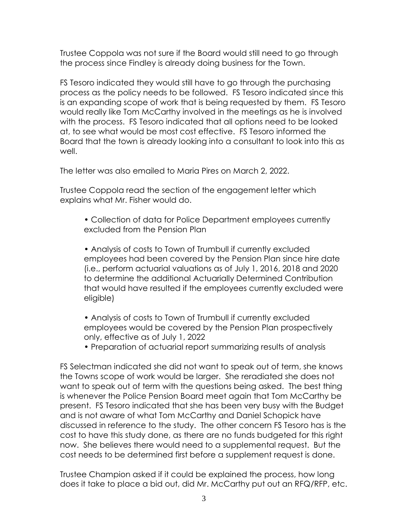Trustee Coppola was not sure if the Board would still need to go through the process since Findley is already doing business for the Town.

FS Tesoro indicated they would still have to go through the purchasing process as the policy needs to be followed. FS Tesoro indicated since this is an expanding scope of work that is being requested by them. FS Tesoro would really like Tom McCarthy involved in the meetings as he is involved with the process. FS Tesoro indicated that all options need to be looked at, to see what would be most cost effective. FS Tesoro informed the Board that the town is already looking into a consultant to look into this as well.

The letter was also emailed to Maria Pires on March 2, 2022.

Trustee Coppola read the section of the engagement letter which explains what Mr. Fisher would do.

• Collection of data for Police Department employees currently excluded from the Pension Plan

• Analysis of costs to Town of Trumbull if currently excluded employees had been covered by the Pension Plan since hire date (i.e., perform actuarial valuations as of July 1, 2016, 2018 and 2020 to determine the additional Actuarially Determined Contribution that would have resulted if the employees currently excluded were eligible)

- Analysis of costs to Town of Trumbull if currently excluded employees would be covered by the Pension Plan prospectively only, effective as of July 1, 2022
- Preparation of actuarial report summarizing results of analysis

FS Selectman indicated she did not want to speak out of term, she knows the Towns scope of work would be larger. She reradiated she does not want to speak out of term with the questions being asked. The best thing is whenever the Police Pension Board meet again that Tom McCarthy be present. FS Tesoro indicated that she has been very busy with the Budget and is not aware of what Tom McCarthy and Daniel Schopick have discussed in reference to the study. The other concern FS Tesoro has is the cost to have this study done, as there are no funds budgeted for this right now. She believes there would need to a supplemental request. But the cost needs to be determined first before a supplement request is done.

Trustee Champion asked if it could be explained the process, how long does it take to place a bid out, did Mr. McCarthy put out an RFQ/RFP, etc.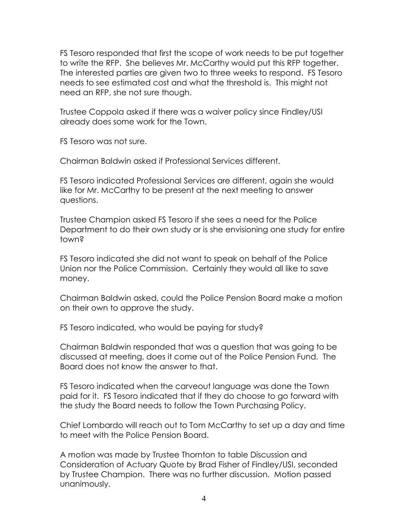FS Tesoro responded that first the scope of work needs to be put together to write the RFP. She believes Mr. McCarthy would put this RFP together. The interested parties are given two to three weeks to respond. FS Tesoro needs to see estimated cost and what the threshold is. This might not need an RFP, she not sure though.

Trustee Coppola asked if there was a waiver policy since Findley/USI already does some work for the Town.

FS Tesoro was not sure.

Chairman Baldwin asked if Professional Services different.

FS Tesoro indicated Professional Services are different, again she would like for Mr. McCarthy to be present at the next meeting to answer questions.

Trustee Champion asked FS Tesoro if she sees a need for the Police Department to do their own study or is she envisioning one study for entire town?

FS Tesoro indicated she did not want to speak on behalf of the Police Union nor the Police Commission. Certainly they would all like to save money.

Chairman Baldwin asked, could the Police Pension Board make a motion on their own to approve the study.

FS Tesoro indicated, who would be paying for study?

Chairman Baldwin responded that was a question that was going to be discussed at meeting, does it come out of the Police Pension Fund. The Board does not know the answer to that.

FS Tesoro indicated when the carveout language was done the Town paid for it. FS Tesoro indicated that if they do choose to go forward with the study the Board needs to follow the Town Purchasing Policy.

Chief Lombardo will reach out to Tom McCarthy to set up a day and time to meet with the Police Pension Board.

A motion was made by Trustee Thornton to table Discussion and Consideration of Actuary Quote by Brad Fisher of Findley/USI, seconded by Trustee Champion. There was no further discussion. Motion passed unanimously.